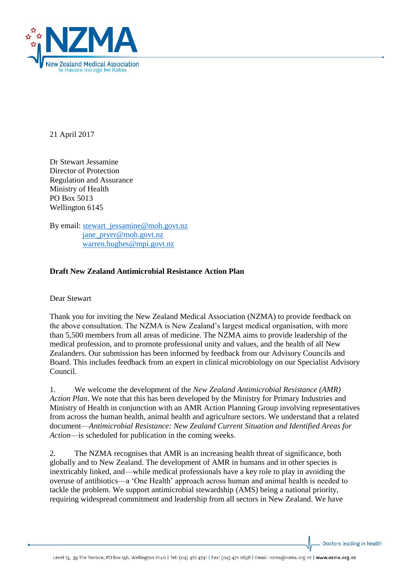

21 April 2017

Dr Stewart Jessamine Director of Protection Regulation and Assurance Ministry of Health PO Box 5013 Wellington 6145

By email: [stewart\\_jessamine@moh.govt.nz](mailto:stewart_jessamine@moh.govt.nz) [jane\\_pryer@moh.govt.nz](mailto:jane_pryer@moh.govt.nz) [warren.hughes@mpi.govt.nz](mailto:warren.hughes@mpi.govt.nz)

# **Draft New Zealand Antimicrobial Resistance Action Plan**

Dear Stewart

Thank you for inviting the New Zealand Medical Association (NZMA) to provide feedback on the above consultation. The NZMA is New Zealand's largest medical organisation, with more than 5,500 members from all areas of medicine. The NZMA aims to provide leadership of the medical profession, and to promote professional unity and values, and the health of all New Zealanders. Our submission has been informed by feedback from our Advisory Councils and Board. This includes feedback from an expert in clinical microbiology on our Specialist Advisory Council.

1. We welcome the development of the *New Zealand Antimicrobial Resistance (AMR) Action Plan*. We note that this has been developed by the Ministry for Primary Industries and Ministry of Health in conjunction with an AMR Action Planning Group involving representatives from across the human health, animal health and agriculture sectors. We understand that a related document—*Antimicrobial Resistance: New Zealand Current Situation and Identified Areas for Action*—is scheduled for publication in the coming weeks.

2. The NZMA recognises that AMR is an increasing health threat of significance, both globally and to New Zealand. The development of AMR in humans and in other species is inextricably linked, and—while medical professionals have a key role to play in avoiding the overuse of antibiotics—a 'One Health' approach across human and animal health is needed to tackle the problem. We support antimicrobial stewardship (AMS) being a national priority, requiring widespread commitment and leadership from all sectors in New Zealand. We have

Doctors leading in health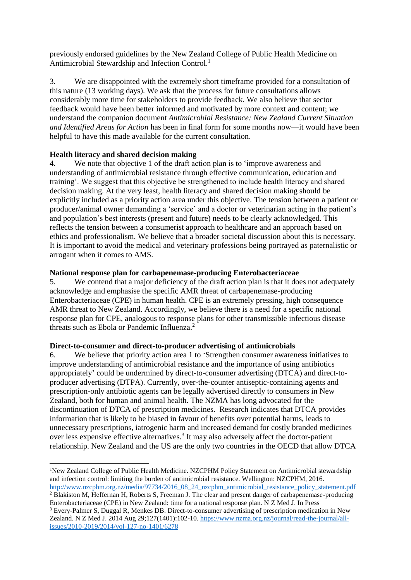<span id="page-1-0"></span>previously endorsed guidelines by the New Zealand College of Public Health Medicine on Antimicrobial Stewardship and Infection Control.<sup>1</sup>

3. We are disappointed with the extremely short timeframe provided for a consultation of this nature (13 working days). We ask that the process for future consultations allows considerably more time for stakeholders to provide feedback. We also believe that sector feedback would have been better informed and motivated by more context and content; we understand the companion document *Antimicrobial Resistance: New Zealand Current Situation and Identified Areas for Action* has been in final form for some months now—it would have been helpful to have this made available for the current consultation.

# **Health literacy and shared decision making**

4. We note that objective 1 of the draft action plan is to 'improve awareness and understanding of antimicrobial resistance through effective communication, education and training'. We suggest that this objective be strengthened to include health literacy and shared decision making. At the very least, health literacy and shared decision making should be explicitly included as a priority action area under this objective. The tension between a patient or producer/animal owner demanding a 'service' and a doctor or veterinarian acting in the patient's and population's best interests (present and future) needs to be clearly acknowledged. This reflects the tension between a consumerist approach to healthcare and an approach based on ethics and professionalism. We believe that a broader societal discussion about this is necessary. It is important to avoid the medical and veterinary professions being portrayed as paternalistic or arrogant when it comes to AMS.

# **National response plan for carbapenemase-producing Enterobacteriaceae**

5. We contend that a major deficiency of the draft action plan is that it does not adequately acknowledge and emphasise the specific AMR threat of carbapenemase-producing Enterobacteriaceae (CPE) in human health. CPE is an extremely pressing, high consequence AMR threat to New Zealand. Accordingly, we believe there is a need for a specific national response plan for CPE, analogous to response plans for other transmissible infectious disease threats such as Ebola or Pandemic Influenza.<sup>2</sup>

### **Direct-to-consumer and direct-to-producer advertising of antimicrobials**

6. We believe that priority action area 1 to 'Strengthen consumer awareness initiatives to improve understanding of antimicrobial resistance and the importance of using antibiotics appropriately' could be undermined by direct-to-consumer advertising (DTCA) and direct-toproducer advertising (DTPA). Currently, over-the-counter antiseptic-containing agents and prescription-only antibiotic agents can be legally advertised directly to consumers in New Zealand, both for human and animal health. The NZMA has long advocated for the discontinuation of DTCA of prescription medicines. Research indicates that DTCA provides information that is likely to be biased in favour of benefits over potential harms, leads to unnecessary prescriptions, iatrogenic harm and increased demand for costly branded medicines over less expensive effective alternatives.<sup>3</sup> It may also adversely affect the doctor-patient relationship. New Zealand and the US are the only two countries in the OECD that allow DTCA

**<sup>.</sup>** <sup>1</sup>New Zealand College of Public Health Medicine. NZCPHM Policy Statement on Antimicrobial stewardship and infection control: limiting the burden of antimicrobial resistance. Wellington: NZCPHM, 2016. [http://www.nzcphm.org.nz/media/97734/2016\\_08\\_24\\_nzcphm\\_antimicrobial\\_resistance\\_policy\\_statement.pdf](http://www.nzcphm.org.nz/media/97734/2016_08_24_nzcphm_antimicrobial_resistance_policy_statement.pdf)

<sup>&</sup>lt;sup>2</sup> Blakiston M, Heffernan H, Roberts S, Freeman J. The clear and present danger of carbapenemase-producing Enterobacteriaceae (CPE) in New Zealand: time for a national response plan. N Z Med J. In Press

<sup>3</sup> Every-Palmer S, Duggal R, Menkes DB. Direct-to-consumer advertising of prescription medication in New Zealand. N Z Med J. 2014 Aug 29;127(1401):102-10. [https://www.nzma.org.nz/journal/read-the-journal/all](https://www.nzma.org.nz/journal/read-the-journal/all-issues/2010-2019/2014/vol-127-no-1401/6278)[issues/2010-2019/2014/vol-127-no-1401/6278](https://www.nzma.org.nz/journal/read-the-journal/all-issues/2010-2019/2014/vol-127-no-1401/6278)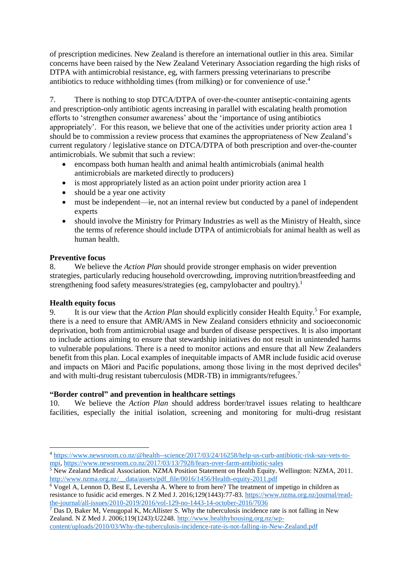of prescription medicines. New Zealand is therefore an international outlier in this area. Similar concerns have been raised by the New Zealand Veterinary Association regarding the high risks of DTPA with antimicrobial resistance, eg, with farmers pressing veterinarians to prescribe antibiotics to reduce withholding times (from milking) or for convenience of use. 4

7. There is nothing to stop DTCA/DTPA of over-the-counter antiseptic-containing agents and prescription-only antibiotic agents increasing in parallel with escalating health promotion efforts to 'strengthen consumer awareness' about the 'importance of using antibiotics appropriately'. For this reason, we believe that one of the activities under priority action area 1 should be to commission a review process that examines the appropriateness of New Zealand's current regulatory / legislative stance on DTCA/DTPA of both prescription and over-the-counter antimicrobials. We submit that such a review:

- encompass both human health and animal health antimicrobials (animal health antimicrobials are marketed directly to producers)
- is most appropriately listed as an action point under priority action area 1
- should be a year one activity
- must be independent—ie, not an internal review but conducted by a panel of independent experts
- should involve the Ministry for Primary Industries as well as the Ministry of Health, since the terms of reference should include DTPA of antimicrobials for animal health as well as human health.

# **Preventive focus**

8. We believe the *Action Plan* should provide stronger emphasis on wider prevention strategies, particularly reducing household overcrowding, improving nutrition/breastfeeding and strengthening food safety measures/strategies (eg, campylobacter and poultry)[.](#page-1-0)<sup>1</sup>

### **Health equity focus**

**.** 

9. It is our view that the *Action Plan* should explicitly consider Health Equity.<sup>5</sup> For example, there is a need to ensure that AMR/AMS in New Zealand considers ethnicity and socioeconomic deprivation, both from antimicrobial usage and burden of disease perspectives. It is also important to include actions aiming to ensure that stewardship initiatives do not result in unintended harms to vulnerable populations. There is a need to monitor actions and ensure that all New Zealanders benefit from this plan. Local examples of inequitable impacts of AMR include fusidic acid overuse and impacts on Māori and Pacific populations, among those living in the most deprived deciles<sup>6</sup> and with multi-drug resistant tuberculosis (MDR-TB) in immigrants/refugees.<sup>7</sup>

# **"Border control" and prevention in healthcare settings**

10. We believe the *Action Plan* should address border/travel issues relating to healthcare facilities, especially the initial isolation, screening and monitoring for multi-drug resistant

<sup>4</sup> [https://www.newsroom.co.nz/@health--science/2017/03/24/16258/help-us-curb-antibiotic-risk-say-vets-to](https://www.newsroom.co.nz/@health--science/2017/03/24/16258/help-us-curb-antibiotic-risk-say-vets-to-mpi)[mpi,](https://www.newsroom.co.nz/@health--science/2017/03/24/16258/help-us-curb-antibiotic-risk-say-vets-to-mpi)<https://www.newsroom.co.nz/2017/03/13/7928/fears-over-farm-antibiotic-sales>

<sup>&</sup>lt;sup>5</sup> New Zealand Medical Association. NZMA Position Statement on Health Equity. Wellington: NZMA, 2011. [http://www.nzma.org.nz/\\_\\_data/assets/pdf\\_file/0016/1456/Health-equity-2011.pdf](http://www.nzma.org.nz/__data/assets/pdf_file/0016/1456/Health-equity-2011.pdf)

 $\overline{6 \text{ Vogel A}}$ , Lennon D, Best E, Leversha A. Where to from here? The treatment of impetigo in children as resistance to fusidic acid emerges. N Z Med J. 2016;129(1443):77-83. [https://www.nzma.org.nz/journal/read](https://www.nzma.org.nz/journal/read-the-journal/all-issues/2010-2019/2016/vol-129-no-1443-14-october-2016/7036)[the-journal/all-issues/2010-2019/2016/vol-129-no-1443-14-october-2016/7036](https://www.nzma.org.nz/journal/read-the-journal/all-issues/2010-2019/2016/vol-129-no-1443-14-october-2016/7036)

<sup>&</sup>lt;sup>7</sup> Das D. Baker M, Venugopal K, McAllister S. Why the tuberculosis incidence rate is not falling in New Zealand. N Z Med J. 2006;119(1243):U2248[. http://www.healthyhousing.org.nz/wp](http://www.healthyhousing.org.nz/wp-content/uploads/2010/03/Why-the-tuberculosis-incidence-rate-is-not-falling-in-New-Zealand.pdf)[content/uploads/2010/03/Why-the-tuberculosis-incidence-rate-is-not-falling-in-New-Zealand.pdf](http://www.healthyhousing.org.nz/wp-content/uploads/2010/03/Why-the-tuberculosis-incidence-rate-is-not-falling-in-New-Zealand.pdf)